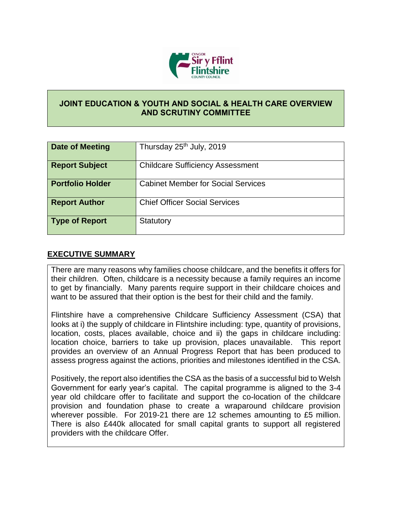

## **JOINT EDUCATION & YOUTH AND SOCIAL & HEALTH CARE OVERVIEW AND SCRUTINY COMMITTEE**

| Date of Meeting         | Thursday 25 <sup>th</sup> July, 2019      |
|-------------------------|-------------------------------------------|
| <b>Report Subject</b>   | <b>Childcare Sufficiency Assessment</b>   |
| <b>Portfolio Holder</b> | <b>Cabinet Member for Social Services</b> |
| <b>Report Author</b>    | <b>Chief Officer Social Services</b>      |
| <b>Type of Report</b>   | Statutory                                 |

## **EXECUTIVE SUMMARY**

There are many reasons why families choose childcare, and the benefits it offers for their children. Often, childcare is a necessity because a family requires an income to get by financially. Many parents require support in their childcare choices and want to be assured that their option is the best for their child and the family.

Flintshire have a comprehensive Childcare Sufficiency Assessment (CSA) that looks at i) the supply of childcare in Flintshire including: type, quantity of provisions, location, costs, places available, choice and ii) the gaps in childcare including: location choice, barriers to take up provision, places unavailable. This report provides an overview of an Annual Progress Report that has been produced to assess progress against the actions, priorities and milestones identified in the CSA.

Positively, the report also identifies the CSA as the basis of a successful bid to Welsh Government for early year's capital. The capital programme is aligned to the 3-4 year old childcare offer to facilitate and support the co-location of the childcare provision and foundation phase to create a wraparound childcare provision wherever possible. For 2019-21 there are 12 schemes amounting to £5 million. There is also £440k allocated for small capital grants to support all registered providers with the childcare Offer.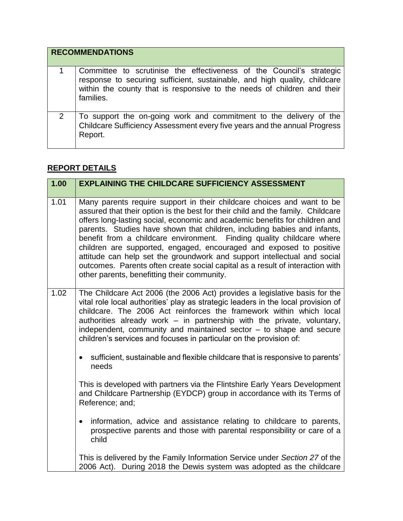|                | <b>RECOMMENDATIONS</b>                                                                                                                                                                                                                    |
|----------------|-------------------------------------------------------------------------------------------------------------------------------------------------------------------------------------------------------------------------------------------|
|                | Committee to scrutinise the effectiveness of the Council's strategic<br>response to securing sufficient, sustainable, and high quality, childcare<br>within the county that is responsive to the needs of children and their<br>families. |
| $\overline{2}$ | To support the on-going work and commitment to the delivery of the<br>Childcare Sufficiency Assessment every five years and the annual Progress<br>Report.                                                                                |

## **REPORT DETAILS**

| 1.00 | <b>EXPLAINING THE CHILDCARE SUFFICIENCY ASSESSMENT</b>                                                                                                                                                                                                                                                                                                                                                                                                                                                                                                                                                                                                                           |
|------|----------------------------------------------------------------------------------------------------------------------------------------------------------------------------------------------------------------------------------------------------------------------------------------------------------------------------------------------------------------------------------------------------------------------------------------------------------------------------------------------------------------------------------------------------------------------------------------------------------------------------------------------------------------------------------|
|      |                                                                                                                                                                                                                                                                                                                                                                                                                                                                                                                                                                                                                                                                                  |
| 1.01 | Many parents require support in their childcare choices and want to be<br>assured that their option is the best for their child and the family. Childcare<br>offers long-lasting social, economic and academic benefits for children and<br>parents. Studies have shown that children, including babies and infants,<br>benefit from a childcare environment. Finding quality childcare where<br>children are supported, engaged, encouraged and exposed to positive<br>attitude can help set the groundwork and support intellectual and social<br>outcomes. Parents often create social capital as a result of interaction with<br>other parents, benefitting their community. |
| 1.02 | The Childcare Act 2006 (the 2006 Act) provides a legislative basis for the<br>vital role local authorities' play as strategic leaders in the local provision of<br>childcare. The 2006 Act reinforces the framework within which local<br>authorities already work - in partnership with the private, voluntary,<br>independent, community and maintained sector - to shape and secure<br>children's services and focuses in particular on the provision of:                                                                                                                                                                                                                     |
|      | sufficient, sustainable and flexible childcare that is responsive to parents'<br>$\bullet$<br>needs                                                                                                                                                                                                                                                                                                                                                                                                                                                                                                                                                                              |
|      | This is developed with partners via the Flintshire Early Years Development<br>and Childcare Partnership (EYDCP) group in accordance with its Terms of<br>Reference; and;                                                                                                                                                                                                                                                                                                                                                                                                                                                                                                         |
|      | information, advice and assistance relating to childcare to parents,<br>$\bullet$<br>prospective parents and those with parental responsibility or care of a<br>child                                                                                                                                                                                                                                                                                                                                                                                                                                                                                                            |
|      | This is delivered by the Family Information Service under Section 27 of the<br>2006 Act). During 2018 the Dewis system was adopted as the childcare                                                                                                                                                                                                                                                                                                                                                                                                                                                                                                                              |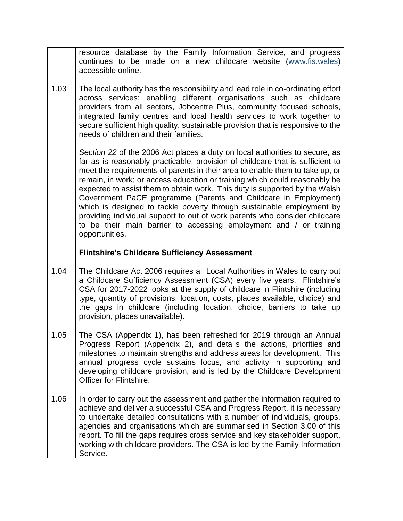|      | resource database by the Family Information Service, and progress<br>continues to be made on a new childcare website (www.fis.wales)<br>accessible online.                                                                                                                                                                                                                                                                                                                                                                                                                                                                                                                                                                   |
|------|------------------------------------------------------------------------------------------------------------------------------------------------------------------------------------------------------------------------------------------------------------------------------------------------------------------------------------------------------------------------------------------------------------------------------------------------------------------------------------------------------------------------------------------------------------------------------------------------------------------------------------------------------------------------------------------------------------------------------|
| 1.03 | The local authority has the responsibility and lead role in co-ordinating effort<br>across services; enabling different organisations such as childcare<br>providers from all sectors, Jobcentre Plus, community focused schools,<br>integrated family centres and local health services to work together to<br>secure sufficient high quality, sustainable provision that is responsive to the<br>needs of children and their families.                                                                                                                                                                                                                                                                                     |
|      | Section 22 of the 2006 Act places a duty on local authorities to secure, as<br>far as is reasonably practicable, provision of childcare that is sufficient to<br>meet the requirements of parents in their area to enable them to take up, or<br>remain, in work; or access education or training which could reasonably be<br>expected to assist them to obtain work. This duty is supported by the Welsh<br>Government PaCE programme (Parents and Childcare in Employment)<br>which is designed to tackle poverty through sustainable employment by<br>providing individual support to out of work parents who consider childcare<br>to be their main barrier to accessing employment and / or training<br>opportunities. |
|      | <b>Flintshire's Childcare Sufficiency Assessment</b>                                                                                                                                                                                                                                                                                                                                                                                                                                                                                                                                                                                                                                                                         |
|      |                                                                                                                                                                                                                                                                                                                                                                                                                                                                                                                                                                                                                                                                                                                              |
| 1.04 | The Childcare Act 2006 requires all Local Authorities in Wales to carry out<br>a Childcare Sufficiency Assessment (CSA) every five years. Flintshire's<br>CSA for 2017-2022 looks at the supply of childcare in Flintshire (including<br>type, quantity of provisions, location, costs, places available, choice) and<br>the gaps in childcare (including location, choice, barriers to take up<br>provision, places unavailable).                                                                                                                                                                                                                                                                                           |
| 1.05 | The CSA (Appendix 1), has been refreshed for 2019 through an Annual<br>Progress Report (Appendix 2), and details the actions, priorities and<br>milestones to maintain strengths and address areas for development. This<br>annual progress cycle sustains focus, and activity in supporting and<br>developing childcare provision, and is led by the Childcare Development<br>Officer for Flintshire.                                                                                                                                                                                                                                                                                                                       |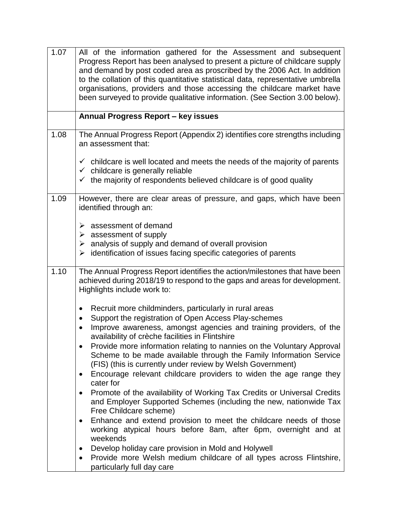| 1.07 | All of the information gathered for the Assessment and subsequent<br>Progress Report has been analysed to present a picture of childcare supply<br>and demand by post coded area as proscribed by the 2006 Act. In addition<br>to the collation of this quantitative statistical data, representative umbrella<br>organisations, providers and those accessing the childcare market have<br>been surveyed to provide qualitative information. (See Section 3.00 below).                                                                                            |
|------|--------------------------------------------------------------------------------------------------------------------------------------------------------------------------------------------------------------------------------------------------------------------------------------------------------------------------------------------------------------------------------------------------------------------------------------------------------------------------------------------------------------------------------------------------------------------|
|      | <b>Annual Progress Report - key issues</b>                                                                                                                                                                                                                                                                                                                                                                                                                                                                                                                         |
| 1.08 | The Annual Progress Report (Appendix 2) identifies core strengths including<br>an assessment that:                                                                                                                                                                                                                                                                                                                                                                                                                                                                 |
|      | $\checkmark$ childcare is well located and meets the needs of the majority of parents<br>$\checkmark$ childcare is generally reliable<br>$\checkmark$ the majority of respondents believed childcare is of good quality                                                                                                                                                                                                                                                                                                                                            |
| 1.09 | However, there are clear areas of pressure, and gaps, which have been<br>identified through an:                                                                                                                                                                                                                                                                                                                                                                                                                                                                    |
|      | $\triangleright$ assessment of demand<br>$\triangleright$ assessment of supply<br>$\triangleright$ analysis of supply and demand of overall provision<br>$\triangleright$ identification of issues facing specific categories of parents                                                                                                                                                                                                                                                                                                                           |
| 1.10 | The Annual Progress Report identifies the action/milestones that have been<br>achieved during 2018/19 to respond to the gaps and areas for development.<br>Highlights include work to:                                                                                                                                                                                                                                                                                                                                                                             |
|      | Recruit more childminders, particularly in rural areas<br>$\bullet$<br>Support the registration of Open Access Play-schemes<br>$\bullet$<br>Improve awareness, amongst agencies and training providers, of the<br>availability of crèche facilities in Flintshire<br>Provide more information relating to nannies on the Voluntary Approval<br>Scheme to be made available through the Family Information Service<br>(FIS) (this is currently under review by Welsh Government)<br>Encourage relevant childcare providers to widen the age range they<br>$\bullet$ |
|      | cater for<br>Promote of the availability of Working Tax Credits or Universal Credits<br>$\bullet$<br>and Employer Supported Schemes (including the new, nationwide Tax<br>Free Childcare scheme)                                                                                                                                                                                                                                                                                                                                                                   |
|      | Enhance and extend provision to meet the childcare needs of those<br>$\bullet$<br>working atypical hours before 8am, after 6pm, overnight and at<br>weekends                                                                                                                                                                                                                                                                                                                                                                                                       |
|      | Develop holiday care provision in Mold and Holywell<br>$\bullet$<br>Provide more Welsh medium childcare of all types across Flintshire,<br>$\bullet$<br>particularly full day care                                                                                                                                                                                                                                                                                                                                                                                 |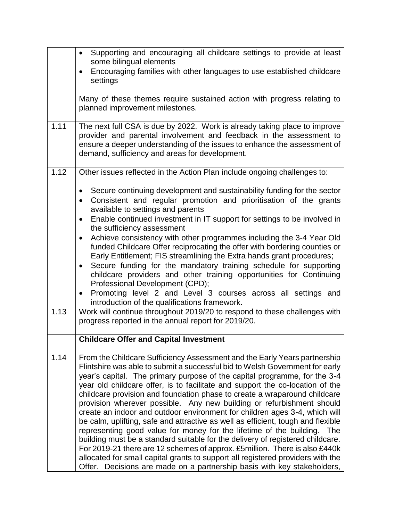|      | Supporting and encouraging all childcare settings to provide at least<br>$\bullet$<br>some bilingual elements<br>Encouraging families with other languages to use established childcare<br>$\bullet$<br>settings                                                                                                                                                                                                                                                                                                                                                                                                                                                                                                                                                                                                                                                                                                                                                                                                                                            |
|------|-------------------------------------------------------------------------------------------------------------------------------------------------------------------------------------------------------------------------------------------------------------------------------------------------------------------------------------------------------------------------------------------------------------------------------------------------------------------------------------------------------------------------------------------------------------------------------------------------------------------------------------------------------------------------------------------------------------------------------------------------------------------------------------------------------------------------------------------------------------------------------------------------------------------------------------------------------------------------------------------------------------------------------------------------------------|
|      | Many of these themes require sustained action with progress relating to<br>planned improvement milestones.                                                                                                                                                                                                                                                                                                                                                                                                                                                                                                                                                                                                                                                                                                                                                                                                                                                                                                                                                  |
| 1.11 | The next full CSA is due by 2022. Work is already taking place to improve<br>provider and parental involvement and feedback in the assessment to<br>ensure a deeper understanding of the issues to enhance the assessment of<br>demand, sufficiency and areas for development.                                                                                                                                                                                                                                                                                                                                                                                                                                                                                                                                                                                                                                                                                                                                                                              |
| 1.12 | Other issues reflected in the Action Plan include ongoing challenges to:                                                                                                                                                                                                                                                                                                                                                                                                                                                                                                                                                                                                                                                                                                                                                                                                                                                                                                                                                                                    |
|      | Secure continuing development and sustainability funding for the sector<br>$\bullet$<br>Consistent and regular promotion and prioritisation of the grants<br>$\bullet$<br>available to settings and parents<br>Enable continued investment in IT support for settings to be involved in<br>$\bullet$                                                                                                                                                                                                                                                                                                                                                                                                                                                                                                                                                                                                                                                                                                                                                        |
|      | the sufficiency assessment<br>Achieve consistency with other programmes including the 3-4 Year Old<br>$\bullet$<br>funded Childcare Offer reciprocating the offer with bordering counties or<br>Early Entitlement; FIS streamlining the Extra hands grant procedures;<br>Secure funding for the mandatory training schedule for supporting<br>$\bullet$<br>childcare providers and other training opportunities for Continuing<br>Professional Development (CPD);                                                                                                                                                                                                                                                                                                                                                                                                                                                                                                                                                                                           |
|      | Promoting level 2 and Level 3 courses across all settings and<br>$\bullet$<br>introduction of the qualifications framework.                                                                                                                                                                                                                                                                                                                                                                                                                                                                                                                                                                                                                                                                                                                                                                                                                                                                                                                                 |
| 1.13 | Work will continue throughout 2019/20 to respond to these challenges with<br>progress reported in the annual report for 2019/20.                                                                                                                                                                                                                                                                                                                                                                                                                                                                                                                                                                                                                                                                                                                                                                                                                                                                                                                            |
|      | <b>Childcare Offer and Capital Investment</b>                                                                                                                                                                                                                                                                                                                                                                                                                                                                                                                                                                                                                                                                                                                                                                                                                                                                                                                                                                                                               |
| 1.14 | From the Childcare Sufficiency Assessment and the Early Years partnership<br>Flintshire was able to submit a successful bid to Welsh Government for early<br>year's capital. The primary purpose of the capital programme, for the 3-4<br>year old childcare offer, is to facilitate and support the co-location of the<br>childcare provision and foundation phase to create a wraparound childcare<br>provision wherever possible. Any new building or refurbishment should<br>create an indoor and outdoor environment for children ages 3-4, which will<br>be calm, uplifting, safe and attractive as well as efficient, tough and flexible<br>representing good value for money for the lifetime of the building.<br>The<br>building must be a standard suitable for the delivery of registered childcare.<br>For 2019-21 there are 12 schemes of approx. £5million. There is also £440k<br>allocated for small capital grants to support all registered providers with the<br>Offer. Decisions are made on a partnership basis with key stakeholders, |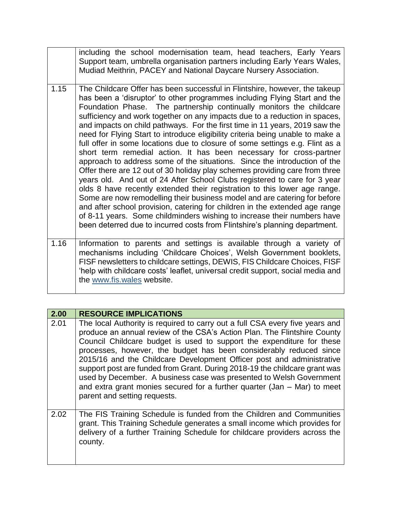|      | including the school modernisation team, head teachers, Early Years<br>Support team, umbrella organisation partners including Early Years Wales,<br>Mudiad Meithrin, PACEY and National Daycare Nursery Association.                                                                                                                                                                                                                                                                                                                                                                                                                                                                                                                                                                                                                                                                                                                                                                                                                                                                                                                                                                                                                                                             |
|------|----------------------------------------------------------------------------------------------------------------------------------------------------------------------------------------------------------------------------------------------------------------------------------------------------------------------------------------------------------------------------------------------------------------------------------------------------------------------------------------------------------------------------------------------------------------------------------------------------------------------------------------------------------------------------------------------------------------------------------------------------------------------------------------------------------------------------------------------------------------------------------------------------------------------------------------------------------------------------------------------------------------------------------------------------------------------------------------------------------------------------------------------------------------------------------------------------------------------------------------------------------------------------------|
| 1.15 | The Childcare Offer has been successful in Flintshire, however, the takeup<br>has been a 'disruptor' to other programmes including Flying Start and the<br>Foundation Phase. The partnership continually monitors the childcare<br>sufficiency and work together on any impacts due to a reduction in spaces,<br>and impacts on child pathways. For the first time in 11 years, 2019 saw the<br>need for Flying Start to introduce eligibility criteria being unable to make a<br>full offer in some locations due to closure of some settings e.g. Flint as a<br>short term remedial action. It has been necessary for cross-partner<br>approach to address some of the situations. Since the introduction of the<br>Offer there are 12 out of 30 holiday play schemes providing care from three<br>years old. And out of 24 After School Clubs registered to care for 3 year<br>olds 8 have recently extended their registration to this lower age range.<br>Some are now remodelling their business model and are catering for before<br>and after school provision, catering for children in the extended age range<br>of 8-11 years. Some childminders wishing to increase their numbers have<br>been deterred due to incurred costs from Flintshire's planning department. |
| 1.16 | Information to parents and settings is available through a variety of<br>mechanisms including 'Childcare Choices' Welsh Government booklets.                                                                                                                                                                                                                                                                                                                                                                                                                                                                                                                                                                                                                                                                                                                                                                                                                                                                                                                                                                                                                                                                                                                                     |

mechanisms including 'Childcare Choices', Welsh Government booklets, FISF newsletters to childcare settings, DEWIS, FIS Childcare Choices, FISF 'help with childcare costs' leaflet, universal credit support, social media and the [www.fis.wales](http://www.fis.wales/) website.

| 2.00 | <b>RESOURCE IMPLICATIONS</b>                                                                                                                                                                                                                                                                                                                                                                                                                                                                                                                                                                                                                        |
|------|-----------------------------------------------------------------------------------------------------------------------------------------------------------------------------------------------------------------------------------------------------------------------------------------------------------------------------------------------------------------------------------------------------------------------------------------------------------------------------------------------------------------------------------------------------------------------------------------------------------------------------------------------------|
| 2.01 | The local Authority is required to carry out a full CSA every five years and<br>produce an annual review of the CSA's Action Plan. The Flintshire County<br>Council Childcare budget is used to support the expenditure for these<br>processes, however, the budget has been considerably reduced since<br>2015/16 and the Childcare Development Officer post and administrative<br>support post are funded from Grant. During 2018-19 the childcare grant was<br>used by December. A business case was presented to Welsh Government<br>and extra grant monies secured for a further quarter (Jan $-$ Mar) to meet<br>parent and setting requests. |
| 2.02 | The FIS Training Schedule is funded from the Children and Communities<br>grant. This Training Schedule generates a small income which provides for<br>delivery of a further Training Schedule for childcare providers across the<br>county.                                                                                                                                                                                                                                                                                                                                                                                                         |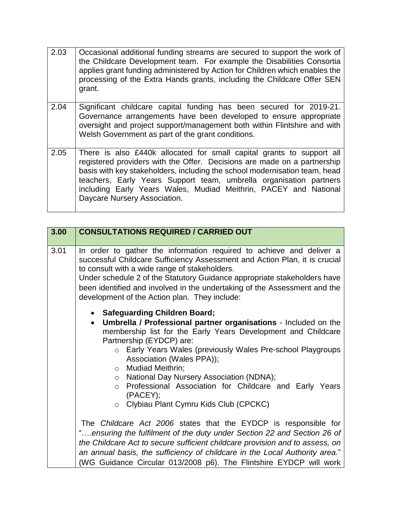- 2.03 | Occasional additional funding streams are secured to support the work of the Childcare Development team. For example the Disabilities Consortia applies grant funding administered by Action for Children which enables the processing of the Extra Hands grants, including the Childcare Offer SEN grant.
- 2.04 Significant childcare capital funding has been secured for 2019-21. Governance arrangements have been developed to ensure appropriate oversight and project support/management both within Flintshire and with Welsh Government as part of the grant conditions.
- 2.05 There is also £440k allocated for small capital grants to support all registered providers with the Offer. Decisions are made on a partnership basis with key stakeholders, including the school modernisation team, head teachers, Early Years Support team, umbrella organisation partners including Early Years Wales, Mudiad Meithrin, PACEY and National Daycare Nursery Association.

| 3.00 | <b>CONSULTATIONS REQUIRED / CARRIED OUT</b>                                                                                                                                                                                                                                                                                                                                                                                                                                                             |
|------|---------------------------------------------------------------------------------------------------------------------------------------------------------------------------------------------------------------------------------------------------------------------------------------------------------------------------------------------------------------------------------------------------------------------------------------------------------------------------------------------------------|
| 3.01 | In order to gather the information required to achieve and deliver a<br>successful Childcare Sufficiency Assessment and Action Plan, it is crucial<br>to consult with a wide range of stakeholders.<br>Under schedule 2 of the Statutory Guidance appropriate stakeholders have<br>been identified and involved in the undertaking of the Assessment and the<br>development of the Action plan. They include:                                                                                           |
|      | • Safeguarding Children Board;<br>Umbrella / Professional partner organisations - Included on the<br>$\bullet$<br>membership list for the Early Years Development and Childcare<br>Partnership (EYDCP) are:<br>o Early Years Wales (previously Wales Pre-school Playgroups<br>Association (Wales PPA));<br>o Mudiad Meithrin;<br>National Day Nursery Association (NDNA);<br>$\circ$<br>o Professional Association for Childcare and Early Years<br>(PACEY);<br>o Clybiau Plant Cymru Kids Club (CPCKC) |
|      | The Childcare Act 2006 states that the EYDCP is responsible for<br>"ensuring the fulfilment of the duty under Section 22 and Section 26 of<br>the Childcare Act to secure sufficient childcare provision and to assess, on<br>an annual basis, the sufficiency of childcare in the Local Authority area."<br>(WG Guidance Circular 013/2008 p6). The Flintshire EYDCP will work                                                                                                                         |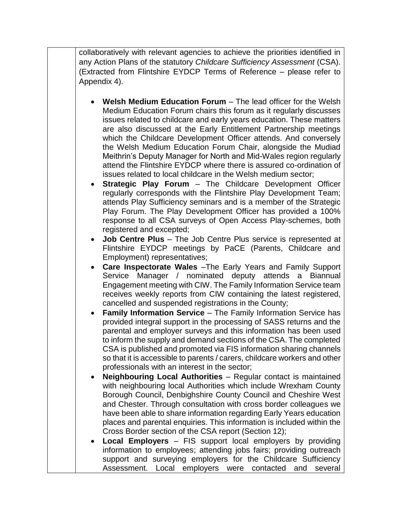collaboratively with relevant agencies to achieve the priorities identified in any Action Plans of the statutory *Childcare Sufficiency Assessment* (CSA). (Extracted from Flintshire EYDCP Terms of Reference – please refer to Appendix 4).

- **Welsh Medium Education Forum** The lead officer for the Welsh Medium Education Forum chairs this forum as it regularly discusses issues related to childcare and early years education. These matters are also discussed at the Early Entitlement Partnership meetings which the Childcare Development Officer attends. And conversely the Welsh Medium Education Forum Chair, alongside the Mudiad Meithrin's Deputy Manager for North and Mid-Wales region regularly attend the Flintshire EYDCP where there is assured co-ordination of issues related to local childcare in the Welsh medium sector;
- **Strategic Play Forum** The Childcare Development Officer regularly corresponds with the Flintshire Play Development Team; attends Play Sufficiency seminars and is a member of the Strategic Play Forum. The Play Development Officer has provided a 100% response to all CSA surveys of Open Access Play-schemes, both registered and excepted;
- **Job Centre Plus**  The Job Centre Plus service is represented at Flintshire EYDCP meetings by PaCE (Parents, Childcare and Employment) representatives;
- **Care Inspectorate Wales** –The Early Years and Family Support Service Manager / nominated deputy attends a Biannual Engagement meeting with CIW. The Family Information Service team receives weekly reports from CIW containing the latest registered, cancelled and suspended registrations in the County;
- **Family Information Service** The Family Information Service has provided integral support in the processing of SASS returns and the parental and employer surveys and this information has been used to inform the supply and demand sections of the CSA. The completed CSA is published and promoted via FIS information sharing channels so that it is accessible to parents / carers, childcare workers and other professionals with an interest in the sector;
- **Neighbouring Local Authorities** Regular contact is maintained with neighbouring local Authorities which include Wrexham County Borough Council, Denbighshire County Council and Cheshire West and Chester. Through consultation with cross border colleagues we have been able to share information regarding Early Years education places and parental enquiries. This information is included within the Cross Border section of the CSA report (Section 12);
- **Local Employers** FIS support local employers by providing information to employees; attending jobs fairs; providing outreach support and surveying employers for the Childcare Sufficiency Assessment. Local employers were contacted and several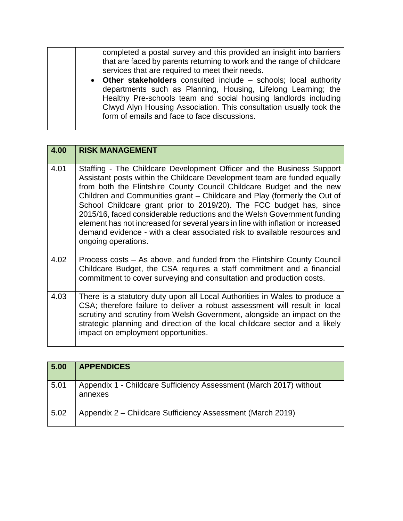completed a postal survey and this provided an insight into barriers that are faced by parents returning to work and the range of childcare services that are required to meet their needs. **Other stakeholders** consulted include – schools; local authority departments such as Planning, Housing, Lifelong Learning; the Healthy Pre-schools team and social housing landlords including Clwyd Alyn Housing Association. This consultation usually took the form of emails and face to face discussions.

| 4.00 | <b>RISK MANAGEMENT</b>                                                                                                                                                                                                                                                                                                                                                                                                                                                                                                                                                                                                                         |
|------|------------------------------------------------------------------------------------------------------------------------------------------------------------------------------------------------------------------------------------------------------------------------------------------------------------------------------------------------------------------------------------------------------------------------------------------------------------------------------------------------------------------------------------------------------------------------------------------------------------------------------------------------|
| 4.01 | Staffing - The Childcare Development Officer and the Business Support<br>Assistant posts within the Childcare Development team are funded equally<br>from both the Flintshire County Council Childcare Budget and the new<br>Children and Communities grant - Childcare and Play (formerly the Out of<br>School Childcare grant prior to 2019/20). The FCC budget has, since<br>2015/16, faced considerable reductions and the Welsh Government funding<br>element has not increased for several years in line with inflation or increased<br>demand evidence - with a clear associated risk to available resources and<br>ongoing operations. |
| 4.02 | Process costs – As above, and funded from the Flintshire County Council<br>Childcare Budget, the CSA requires a staff commitment and a financial<br>commitment to cover surveying and consultation and production costs.                                                                                                                                                                                                                                                                                                                                                                                                                       |
| 4.03 | There is a statutory duty upon all Local Authorities in Wales to produce a<br>CSA; therefore failure to deliver a robust assessment will result in local<br>scrutiny and scrutiny from Welsh Government, alongside an impact on the<br>strategic planning and direction of the local childcare sector and a likely<br>impact on employment opportunities.                                                                                                                                                                                                                                                                                      |

| 5.00 | <b>APPENDICES</b>                                                             |
|------|-------------------------------------------------------------------------------|
| 5.01 | Appendix 1 - Childcare Sufficiency Assessment (March 2017) without<br>annexes |
| 5.02 | Appendix 2 – Childcare Sufficiency Assessment (March 2019)                    |